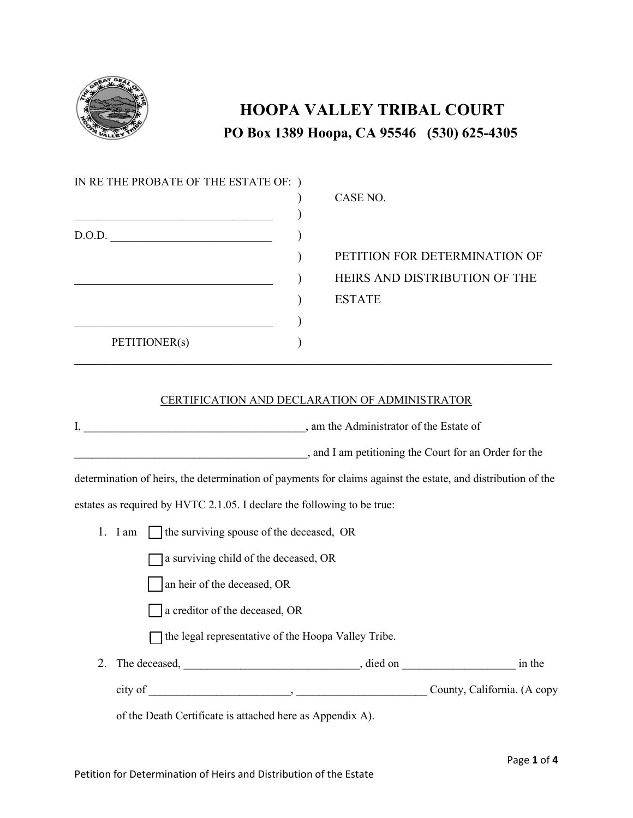

## **HOOPA VALLEY TRIBAL COURT PO Box 1389 Hoopa, CA 95546 (530) 625-4305**

| IN RETHE PROBATE OF THE ESTATE OF: ) |                               |
|--------------------------------------|-------------------------------|
|                                      | CASE NO.                      |
|                                      |                               |
| D.O.D.                               |                               |
|                                      | PETITION FOR DETERMINATION OF |
|                                      | HEIRS AND DISTRIBUTION OF THE |
|                                      | <b>ESTATE</b>                 |
|                                      |                               |
| PETITIONER(s)                        |                               |
|                                      |                               |

## CERTIFICATION AND DECLARATION OF ADMINISTRATOR

I, am the Administrator of the Estate of

|  | and I am petitioning the Court for an Order for the |  |
|--|-----------------------------------------------------|--|
|--|-----------------------------------------------------|--|

determination of heirs, the determination of payments for claims against the estate, and distribution of the

estates as required by HVTC 2.1.05. I declare the following to be true:

1. I am  $\Box$  the surviving spouse of the deceased, OR

 $\Box$  a surviving child of the deceased, OR

an heir of the deceased, OR

 $\Box$  a creditor of the deceased, OR

 $\Box$  the legal representative of the Hoopa Valley Tribe.

2. The deceased,  $\qquad \qquad$  , died on  $\qquad \qquad$  in the city of \_\_\_\_\_\_\_\_\_\_\_\_\_\_\_\_\_\_\_\_\_\_\_\_\_, \_\_\_\_\_\_\_\_\_\_\_\_\_\_\_\_\_\_\_\_\_\_\_ County, California. (A copy

of the Death Certificate is attached here as Appendix A).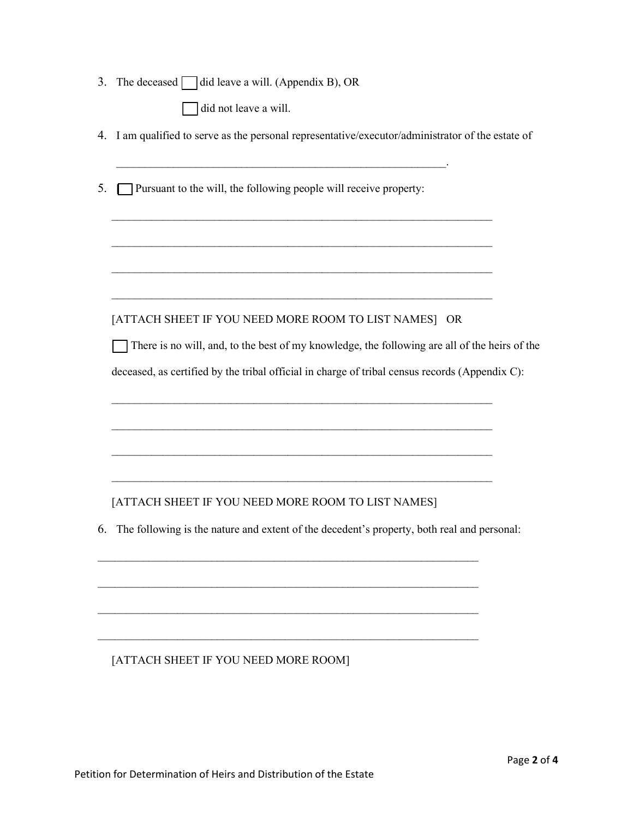| The deceased $\Box$ did leave a will. (Appendix B), OR<br>3.                                         |  |
|------------------------------------------------------------------------------------------------------|--|
| did not leave a will.                                                                                |  |
| I am qualified to serve as the personal representative/executor/administrator of the estate of<br>4. |  |
| Pursuant to the will, the following people will receive property:<br>5.                              |  |
|                                                                                                      |  |
| [ATTACH SHEET IF YOU NEED MORE ROOM TO LIST NAMES] OR                                                |  |
| There is no will, and, to the best of my knowledge, the following are all of the heirs of the        |  |
| deceased, as certified by the tribal official in charge of tribal census records (Appendix C):       |  |
|                                                                                                      |  |
|                                                                                                      |  |
| [ATTACH SHEET IF YOU NEED MORE ROOM TO LIST NAMES]                                                   |  |
| The following is the nature and extent of the decedent's property, both real and personal:<br>6.     |  |
|                                                                                                      |  |
|                                                                                                      |  |
|                                                                                                      |  |

## [ATTACH SHEET IF YOU NEED MORE ROOM]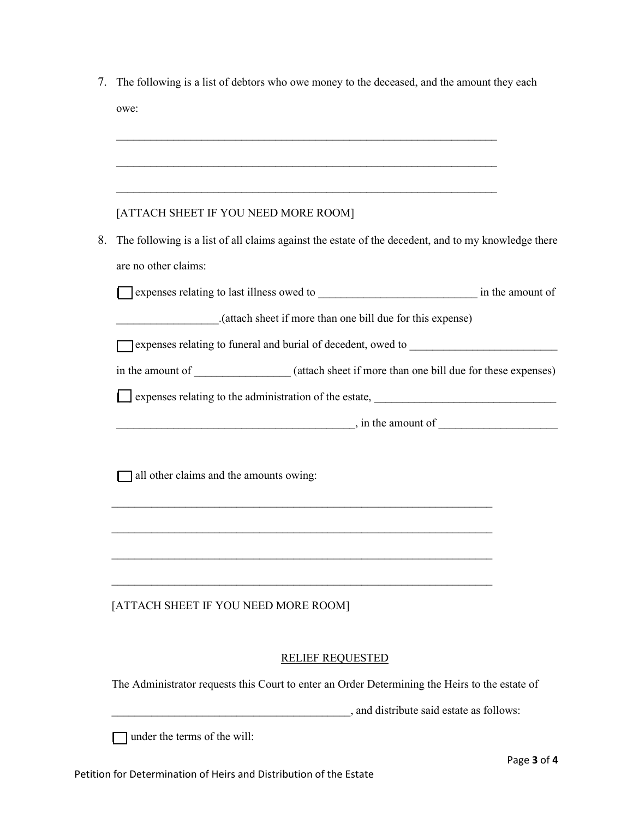|    | The following is a list of debtors who owe money to the deceased, and the amount they each                           |
|----|----------------------------------------------------------------------------------------------------------------------|
|    | owe:                                                                                                                 |
|    |                                                                                                                      |
|    |                                                                                                                      |
|    |                                                                                                                      |
|    | [ATTACH SHEET IF YOU NEED MORE ROOM]                                                                                 |
| 8. | The following is a list of all claims against the estate of the decedent, and to my knowledge there                  |
|    | are no other claims:                                                                                                 |
|    |                                                                                                                      |
|    | (attach sheet if more than one bill due for this expense)                                                            |
|    |                                                                                                                      |
|    | in the amount of _______________ (attach sheet if more than one bill due for these expenses)                         |
|    |                                                                                                                      |
|    | $\frac{1}{2}$ , in the amount of $\frac{1}{2}$                                                                       |
|    |                                                                                                                      |
|    |                                                                                                                      |
|    |                                                                                                                      |
|    | all other claims and the amounts owing:                                                                              |
|    |                                                                                                                      |
|    | <u> 1989 - Johann Barbara, marka masjid aka masjid aka masjid aka masjid aka masjid aka masjid aka masjid aka ma</u> |
|    |                                                                                                                      |
|    |                                                                                                                      |
|    | [ATTACH SHEET IF YOU NEED MORE ROOM]                                                                                 |
|    |                                                                                                                      |
|    | <b>RELIEF REQUESTED</b>                                                                                              |
|    | The Administrator requests this Court to enter an Order Determining the Heirs to the estate of                       |
|    | , and distribute said estate as follows:                                                                             |
|    | under the terms of the will:                                                                                         |